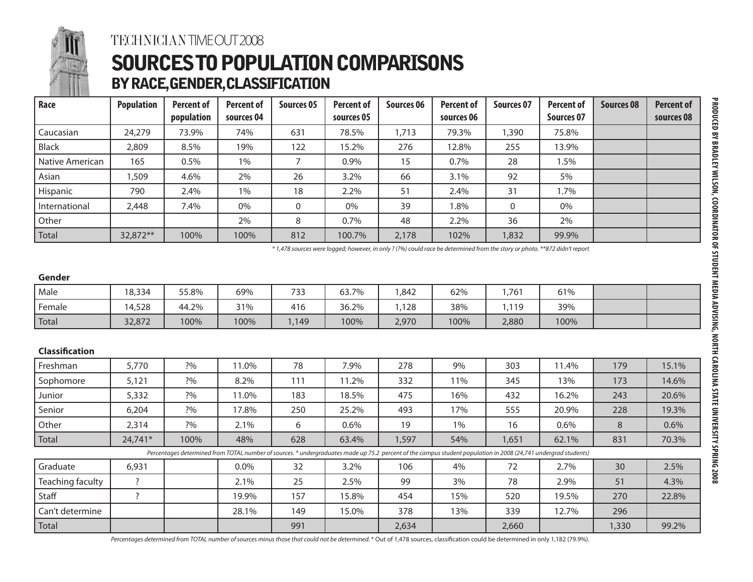

### TECHNICIAN TIME OUT 2008

## SOURCES TO POPULATION COMPARISONS BY RACE, GENDER, CLASSIFICATION

| Race            | <b>Population</b> | <b>Percent of</b> | <b>Percent of</b> | <b>Sources 05</b> | <b>Percent of</b> | Sources 06 | <b>Percent of</b> | Sources 07 | <b>Percent of</b> | <b>Sources 08</b> | <b>Percent of</b> |
|-----------------|-------------------|-------------------|-------------------|-------------------|-------------------|------------|-------------------|------------|-------------------|-------------------|-------------------|
|                 |                   | population        | sources 04        |                   | sources 05        |            | sources 06        |            | Sources 07        |                   | sources 08        |
| Caucasian       | 24,279            | 73.9%             | 74%               | 631               | 78.5%             | ,713       | 79.3%             | ,390       | 75.8%             |                   |                   |
| Black           | 2,809             | 8.5%              | 19%               | 122               | 15.2%             | 276        | 12.8%             | 255        | 13.9%             |                   |                   |
| Native American | 165               | 0.5%              | 1%                |                   | 0.9%              | 15         | 0.7%              | 28         | .5%               |                   |                   |
| Asian           | ,509              | 4.6%              | 2%                | 26                | 3.2%              | 66         | 3.1%              | 92         | 5%                |                   |                   |
| Hispanic        | 790               | 2.4%              | 1%                | 18                | 2.2%              | 51         | 2.4%              | 31         | $.7\%$            |                   |                   |
| International   | 2,448             | 7.4%              | 0%                | 0                 | 0%                | 39         | .8%               | 0          | 0%                |                   |                   |
| Other           |                   |                   | 2%                | 8                 | 0.7%              | 48         | 2.2%              | 36         | 2%                |                   |                   |
| Total           | 32,872**          | 100%              | 100%              | 812               | 100.7%            | 2,178      | 102%              | 1,832      | 99.9%             |                   |                   |

*\* 1,478 sources were logged; however, in only ? (?%) could race be determined from the story or photo. \*\*872 didn't report*

| Gender                |         |       |                                                                                                                                                                 |       |       |       |      |       |       |       |       |
|-----------------------|---------|-------|-----------------------------------------------------------------------------------------------------------------------------------------------------------------|-------|-------|-------|------|-------|-------|-------|-------|
| Male                  | 18,334  | 55.8% | 69%                                                                                                                                                             | 733   | 63.7% | 1,842 | 62%  | 1,761 | 61%   |       |       |
| Female                | 14,528  | 44.2% | 31%                                                                                                                                                             | 416   | 36.2% | 1,128 | 38%  | 1,119 | 39%   |       |       |
| Total                 | 32,872  | 100%  | 100%                                                                                                                                                            | 1,149 | 100%  | 2,970 | 100% | 2,880 | 100%  |       |       |
|                       |         |       |                                                                                                                                                                 |       |       |       |      |       |       |       |       |
| <b>Classification</b> |         |       |                                                                                                                                                                 |       |       |       |      |       |       |       |       |
| Freshman              | 5,770   | ?%    | 11.0%                                                                                                                                                           | 78    | 7.9%  | 278   | 9%   | 303   | 11.4% | 179   | 15.1% |
| Sophomore             | 5,121   | 2%    | 8.2%                                                                                                                                                            | 111   | 11.2% | 332   | 11%  | 345   | 13%   | 173   | 14.6% |
| Junior                | 5,332   | 2%    | 11.0%                                                                                                                                                           | 183   | 18.5% | 475   | 16%  | 432   | 16.2% | 243   | 20.6% |
| Senior                | 6,204   | ?%    | 17.8%                                                                                                                                                           | 250   | 25.2% | 493   | 17%  | 555   | 20.9% | 228   | 19.3% |
| Other                 | 2,314   | 2%    | 2.1%                                                                                                                                                            | 6     | 0.6%  | 19    | 1%   | 16    | 0.6%  | 8     | 0.6%  |
| Total                 | 24,741* | 100%  | 48%                                                                                                                                                             | 628   | 63.4% | 1,597 | 54%  | 1,651 | 62.1% | 831   | 70.3% |
|                       |         |       | Percentages determined from TOTAL number of sources. * undergraduates made up 75.2 percent of the campus student population in 2008 (24,741 undergrad students) |       |       |       |      |       |       |       |       |
| Graduate              | 6,931   |       | $0.0\%$                                                                                                                                                         | 32    | 3.2%  | 106   | 4%   | 72    | 2.7%  | 30    | 2.5%  |
| Teaching faculty      | ?       |       | 2.1%                                                                                                                                                            | 25    | 2.5%  | 99    | 3%   | 78    | 2.9%  | 51    | 4.3%  |
| Staff                 | 7       |       | 19.9%                                                                                                                                                           | 157   | 15.8% | 454   | 15%  | 520   | 19.5% | 270   | 22.8% |
| Can't determine       |         |       | 28.1%                                                                                                                                                           | 149   | 15.0% | 378   | 13%  | 339   | 12.7% | 296   |       |
| Total                 |         |       |                                                                                                                                                                 | 991   |       | 2,634 |      | 2,660 |       | 1,330 | 99.2% |

*Percentages determined from TOTAL number of sources minus those that could not be determined.* \* Out of 1,478 sources, classification could be determined in only 1,182 (79.9%).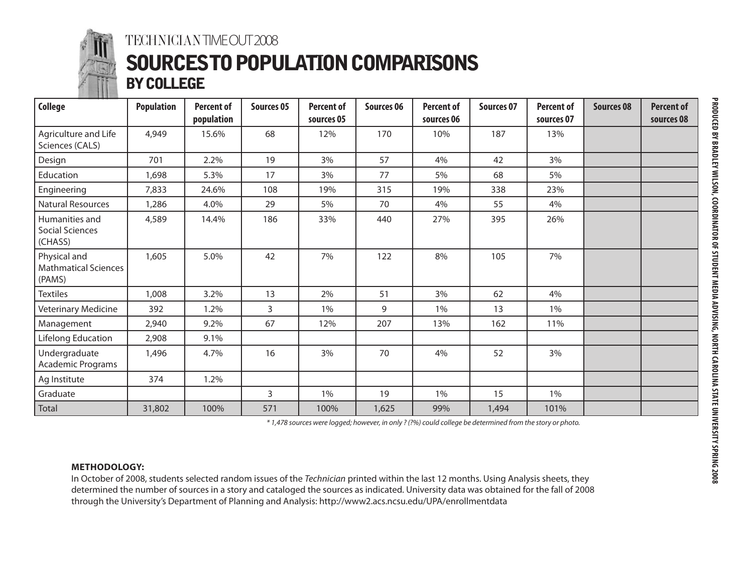

### TECHNICIAN TIME OUT 2008 SOURCES TO POPULATION COMPARISONS BY COLLEGE

| <b>STATE STATE</b><br><b>College</b>                  | <b>Population</b> | <b>Percent of</b><br>population | Sources 05   | <b>Percent of</b><br>sources 05 | Sources 06 | <b>Percent of</b><br>sources 06 | Sources 07 | <b>Percent of</b><br>sources 07 | Sources 08 | <b>Percent of</b><br>sources 08 |
|-------------------------------------------------------|-------------------|---------------------------------|--------------|---------------------------------|------------|---------------------------------|------------|---------------------------------|------------|---------------------------------|
| Agriculture and Life<br>Sciences (CALS)               | 4,949             | 15.6%                           | 68           | 12%                             | 170        | 10%                             | 187        | 13%                             |            |                                 |
| Design                                                | 701               | 2.2%                            | 19           | 3%                              | 57         | 4%                              | 42         | 3%                              |            |                                 |
| Education                                             | 1,698             | 5.3%                            | 17           | 3%                              | 77         | 5%                              | 68         | 5%                              |            |                                 |
| Engineering                                           | 7,833             | 24.6%                           | 108          | 19%                             | 315        | 19%                             | 338        | 23%                             |            |                                 |
| Natural Resources                                     | 1,286             | 4.0%                            | 29           | 5%                              | 70         | 4%                              | 55         | 4%                              |            |                                 |
| Humanities and<br><b>Social Sciences</b><br>(CHASS)   | 4,589             | 14.4%                           | 186          | 33%                             | 440        | 27%                             | 395        | 26%                             |            |                                 |
| Physical and<br><b>Mathmatical Sciences</b><br>(PAMS) | 1,605             | 5.0%                            | 42           | 7%                              | 122        | $8\%$                           | 105        | 7%                              |            |                                 |
| <b>Textiles</b>                                       | 1,008             | 3.2%                            | 13           | 2%                              | 51         | 3%                              | 62         | 4%                              |            |                                 |
| Veterinary Medicine                                   | 392               | 1.2%                            | 3            | 1%                              | 9          | 1%                              | 13         | 1%                              |            |                                 |
| Management                                            | 2,940             | 9.2%                            | 67           | 12%                             | 207        | 13%                             | 162        | 11%                             |            |                                 |
| Lifelong Education                                    | 2,908             | 9.1%                            |              |                                 |            |                                 |            |                                 |            |                                 |
| Undergraduate<br>Academic Programs                    | 1,496             | 4.7%                            | 16           | 3%                              | 70         | 4%                              | 52         | 3%                              |            |                                 |
| Ag Institute                                          | 374               | 1.2%                            |              |                                 |            |                                 |            |                                 |            |                                 |
| Graduate                                              |                   |                                 | $\mathbf{3}$ | 1%                              | 19         | 1%                              | 15         | 1%                              |            |                                 |
| Total                                                 | 31,802            | 100%                            | 571          | 100%                            | 1,625      | 99%                             | 1,494      | 101%                            |            |                                 |

*\* 1,478 sources were logged; however, in only ? (?%) could college be determined from the story or photo.*

#### **METHODOLOGY:**

In October of 2008, students selected random issues of the *Technician* printed within the last 12 months. Using Analysis sheets, they determined the number of sources in a story and cataloged the sources as indicated. University data was obtained for the fall of 2008 through the University's Department of Planning and Analysis: http://www2.acs.ncsu.edu/UPA/enrollmentdata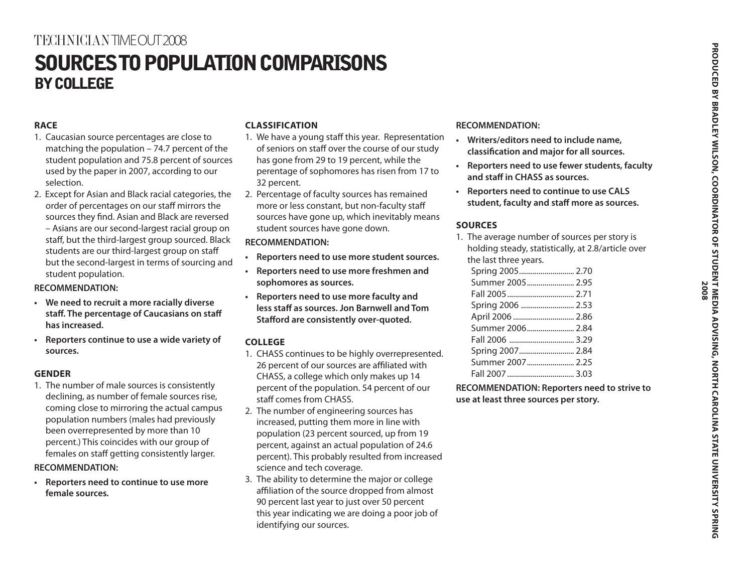### TECHNICIAN TIME OUT 2008

# SOURCES TO POPULATION COMPARISONS BY COLLEGE

#### **RACE**

- 1. Caucasian source percentages are close to matching the population – 74.7 percent of the student population and 75.8 percent of sources used by the paper in 2007, according to our selection.
- 2. Except for Asian and Black racial categories, the order of percentages on our staff mirrors the sources they find. Asian and Black are reversed – Asians are our second-largest racial group on staff, but the third-largest group sourced. Black students are our third-largest group on staff but the second-largest in terms of sourcing and student population.

#### **RECOMMENDATION:**

- **• We need to recruit a more racially diverse staff. The percentage of Caucasians on staff has increased.**
- **• Reporters continue to use a wide variety of sources.**

#### **GENDER**

1. The number of male sources is consistently declining, as number of female sources rise, coming close to mirroring the actual campus population numbers (males had previously been overrepresented by more than 10 percent.) This coincides with our group of females on staff getting consistently larger.

#### **RECOMMENDATION:**

**• Reporters need to continue to use more female sources.**

#### **CLASSIFICATION**

- 1. We have a young staff this year. Representation of seniors on staff over the course of our study has gone from 29 to 19 percent, while the perentage of sophomores has risen from 17 to 32 percent.
- 2. Percentage of faculty sources has remained more or less constant, but non-faculty staff sources have gone up, which inevitably means student sources have gone down.

#### **RECOMMENDATION:**

- **• Reporters need to use more student sources.**
- **• Reporters need to use more freshmen and sophomores as sources.**
- **• Reporters need to use more faculty and less staff as sources. Jon Barnwell and Tom Stafford are consistently over-quoted.**

#### **COLLEGE**

- 1. CHASS continues to be highly overrepresented. 26 percent of our sources are affiliated with CHASS, a college which only makes up 14 percent of the population. 54 percent of our staff comes from CHASS.
- 2. The number of engineering sources has increased, putting them more in line with population (23 percent sourced, up from 19 percent, against an actual population of 24.6 percent). This probably resulted from increased science and tech coverage.
- 3. The ability to determine the major or college affiliation of the source dropped from almost 90 percent last year to just over 50 percent this year indicating we are doing a poor job of identifying our sources.

#### **RECOMMENDATION:**

- **• Writers/editors need to include name, classification and major for all sources.**
- **• Reporters need to use fewer students, faculty and staff in CHASS as sources.**
- **• Reporters need to continue to use CALS student, faculty and staff more as sources.**

#### **SOURCES**

1. The average number of sources per story is holding steady, statistically, at 2.8/article over the last three years.

| Spring 2005 2.70  |  |
|-------------------|--|
| Summer 2005 2.95  |  |
|                   |  |
| Spring 2006  2.53 |  |
| April 2006  2.86  |  |
| Summer 2006 2.84  |  |
|                   |  |
| Spring 2007 2.84  |  |
| Summer 2007 2.25  |  |
|                   |  |

**RECOMMENDATION: Reporters need to strive to use at least three sources per story.**